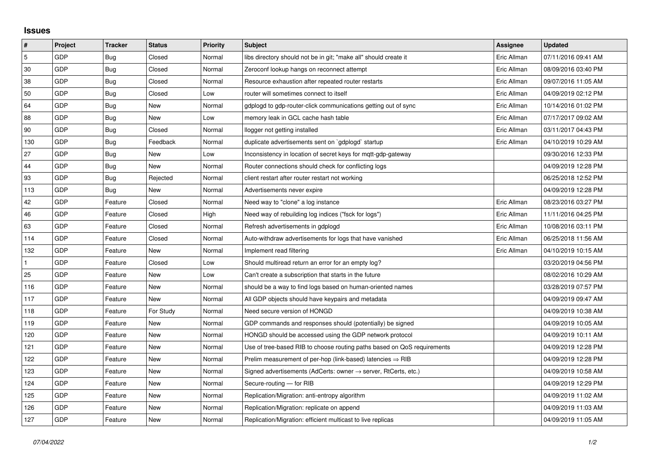## **Issues**

| #   | Project | <b>Tracker</b> | <b>Status</b> | <b>Priority</b> | <b>Subject</b>                                                             | Assignee    | <b>Updated</b>      |
|-----|---------|----------------|---------------|-----------------|----------------------------------------------------------------------------|-------------|---------------------|
| 5   | GDP     | Bug            | Closed        | Normal          | libs directory should not be in git; "make all" should create it           | Eric Allman | 07/11/2016 09:41 AM |
| 30  | GDP     | <b>Bug</b>     | Closed        | Normal          | Zeroconf lookup hangs on reconnect attempt                                 | Eric Allman | 08/09/2016 03:40 PM |
| 38  | GDP     | Bug            | Closed        | Normal          | Resource exhaustion after repeated router restarts                         | Eric Allman | 09/07/2016 11:05 AM |
| 50  | GDP     | Bug            | Closed        | Low             | router will sometimes connect to itself                                    | Eric Allman | 04/09/2019 02:12 PM |
| 64  | GDP     | <b>Bug</b>     | New           | Normal          | gdplogd to gdp-router-click communications getting out of sync             | Eric Allman | 10/14/2016 01:02 PM |
| 88  | GDP     | Bug            | New           | Low             | memory leak in GCL cache hash table                                        | Eric Allman | 07/17/2017 09:02 AM |
| 90  | GDP     | <b>Bug</b>     | Closed        | Normal          | llogger not getting installed                                              | Eric Allman | 03/11/2017 04:43 PM |
| 130 | GDP     | Bug            | Feedback      | Normal          | duplicate advertisements sent on `gdplogd` startup                         | Eric Allman | 04/10/2019 10:29 AM |
| 27  | GDP     | Bug            | <b>New</b>    | Low             | Inconsistency in location of secret keys for mgtt-gdp-gateway              |             | 09/30/2016 12:33 PM |
| 44  | GDP     | Bug            | <b>New</b>    | Normal          | Router connections should check for conflicting logs                       |             | 04/09/2019 12:28 PM |
| 93  | GDP     | Bug            | Rejected      | Normal          | client restart after router restart not working                            |             | 06/25/2018 12:52 PM |
| 113 | GDP     | Bug            | New           | Normal          | Advertisements never expire                                                |             | 04/09/2019 12:28 PM |
| 42  | GDP     | Feature        | Closed        | Normal          | Need way to "clone" a log instance                                         | Eric Allman | 08/23/2016 03:27 PM |
| 46  | GDP     | Feature        | Closed        | High            | Need way of rebuilding log indices ("fsck for logs")                       | Eric Allman | 11/11/2016 04:25 PM |
| 63  | GDP     | Feature        | Closed        | Normal          | Refresh advertisements in gdplogd                                          | Eric Allman | 10/08/2016 03:11 PM |
| 114 | GDP     | Feature        | Closed        | Normal          | Auto-withdraw advertisements for logs that have vanished                   | Eric Allman | 06/25/2018 11:56 AM |
| 132 | GDP     | Feature        | New           | Normal          | Implement read filtering                                                   | Eric Allman | 04/10/2019 10:15 AM |
|     | GDP     | Feature        | Closed        | Low             | Should multiread return an error for an empty log?                         |             | 03/20/2019 04:56 PM |
| 25  | GDP     | Feature        | New           | Low             | Can't create a subscription that starts in the future                      |             | 08/02/2016 10:29 AM |
| 116 | GDP     | Feature        | New           | Normal          | should be a way to find logs based on human-oriented names                 |             | 03/28/2019 07:57 PM |
| 117 | GDP     | Feature        | New           | Normal          | All GDP objects should have keypairs and metadata                          |             | 04/09/2019 09:47 AM |
| 118 | GDP     | Feature        | For Study     | Normal          | Need secure version of HONGD                                               |             | 04/09/2019 10:38 AM |
| 119 | GDP     | Feature        | New           | Normal          | GDP commands and responses should (potentially) be signed                  |             | 04/09/2019 10:05 AM |
| 120 | GDP     | Feature        | New           | Normal          | HONGD should be accessed using the GDP network protocol                    |             | 04/09/2019 10:11 AM |
| 121 | GDP     | Feature        | New           | Normal          | Use of tree-based RIB to choose routing paths based on QoS requirements    |             | 04/09/2019 12:28 PM |
| 122 | GDP     | Feature        | New           | Normal          | Prelim measurement of per-hop (link-based) latencies $\Rightarrow$ RIB     |             | 04/09/2019 12:28 PM |
| 123 | GDP     | Feature        | New           | Normal          | Signed advertisements (AdCerts: owner $\rightarrow$ server, RtCerts, etc.) |             | 04/09/2019 10:58 AM |
| 124 | GDP     | Feature        | New           | Normal          | Secure-routing - for RIB                                                   |             | 04/09/2019 12:29 PM |
| 125 | GDP     | Feature        | New           | Normal          | Replication/Migration: anti-entropy algorithm                              |             | 04/09/2019 11:02 AM |
| 126 | GDP     | Feature        | New           | Normal          | Replication/Migration: replicate on append                                 |             | 04/09/2019 11:03 AM |
| 127 | GDP     | Feature        | New           | Normal          | Replication/Migration: efficient multicast to live replicas                |             | 04/09/2019 11:05 AM |